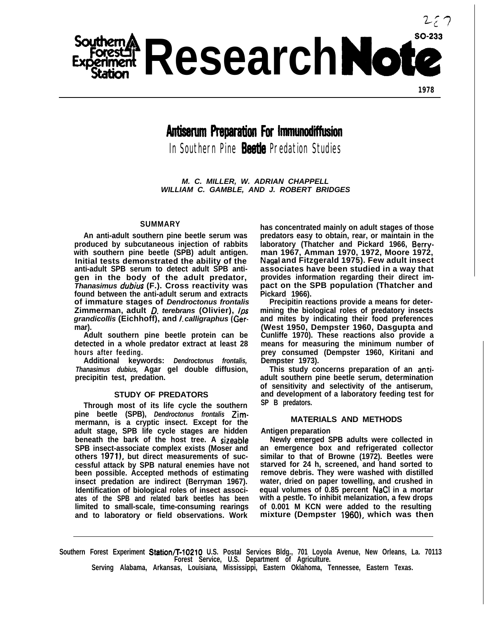

**1978**

# **Antiserum Preparation For Immunodiffusion**

In Southern Pine **Beetle** Predation Studies

*M. C. MILLER, W. ADRIAN CHAPPELL WILLIAM C. GAMBLE, AND J. ROBERT BRIDGES*

# **SUMMARY**

**An anti-adult southern pine beetle serum was produced by subcutaneous injection of rabbits with southern pine beetle (SPB) adult antigen. Initial tests demonstrated the ability of the anti-adult SPB serum to detect adult SPB antigen in the body of the adult predator,** *Thanasimus dubius* **(F.). Cross reactivity was found between the anti-adult serum and extracts of immature stages of** *Dendroctonus frontalis* **Zimmerman, adult** *0. terebrans* **(Olivier),** *lps grandicollis* **(Eichhoff), and** *I. calligraphus* **(Germar).**

**Adult southern pine beetle protein can be detected in a whole predator extract at least 28 hours after feeding.**

**Additional keywords:** *Dendroctonus frontalis, Thanasimus dubius,* **Agar gel double diffusion, precipitin test, predation.**

## **STUDY OF PREDATORS**

**Through most of its life cycle the southern pine beetle (SPB),** *Dendroctonus frontalis* **Zimmermann, is a cryptic insect. Except for the adult stage, SPB life cycle stages are hidden beneath the bark of the host tree. A sizeable SPB insect-associate complex exists (Moser and others 1971), but direct measurements of successful attack by SPB natural enemies have not been possible. Accepted methods of estimating insect predation are indirect (Berryman 1967). Identification of biological roles of insect associates of the SPB and related bark beetles has been limited to small-scale, time-consuming rearings and to laboratory or field observations. Work**

**has concentrated mainly on adult stages of those predators easy to obtain, rear, or maintain in the laboratory (Thatcher and Pickard 1966, Berryman 1967, Amman 1970, 1972, Moore 1972, Nagal and Fitzgerald 1975). Few adult insect associates have been studied in a way that provides information regarding their direct impact on the SPB population (Thatcher and Pickard 1966).**

**Precipitin reactions provide a means for determining the biological roles of predatory insects and mites by indicating their food preferences (West 1950, Dempster 1960, Dasgupta and Cunliffe 1970). These reactions also provide a means for measuring the minimum number of prey consumed (Dempster 1960, Kiritani and Dempster 1973).**

**This study concerns preparation of an antiadult southern pine beetle serum, determination of sensitivity and selectivity of the antiserum, and development of a laboratory feeding test for SP B predators.**

# **MATERIALS AND METHODS**

#### **Antigen preparation**

**Newly emerged SPB adults were collected in an emergence box and refrigerated collector similar to that of Browne (1972). Beetles were starved for 24 h, screened, and hand sorted to remove debris. They were washed with distilled water, dried on paper towelling, and crushed in equal volumes of 0.85 percent NaCI in a mortar with a pestle. To inhibit melanization, a few drops of 0.001 M KCN were added to the resulting** mixture (Dempster 1960), which was then

**Southern Forest Experiment Station/T-l0210 U.S. Postal Services Bldg., 701 Loyola Avenue, New Orleans, La. 70113 Forest Service, U.S. Department of Agriculture. Serving Alabama, Arkansas, Louisiana, Mississippi, Eastern Oklahoma, Tennessee, Eastern Texas.**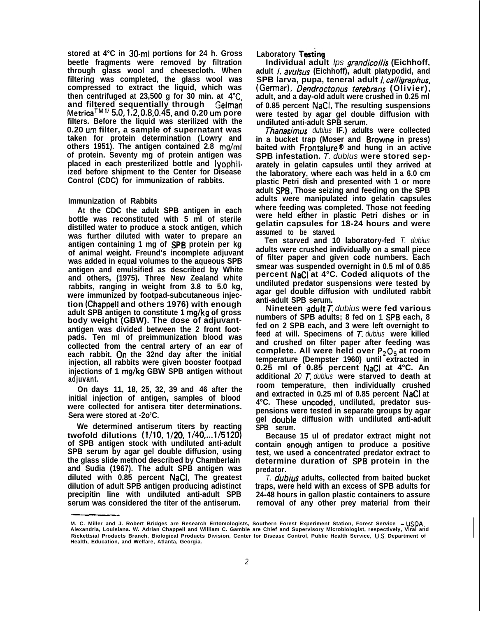**stored at 4°C in 30-ml portions for 24 h. Gross beetle fragments were removed by filtration through glass wool and cheesecloth. When filtering was completed, the glass wool was compressed to extract the liquid, which was then centrifuged at 23,500 g for 30 min. at 4°C and filtered sequentially through Gelman MetricaTM" 5.0,1.2,0.8,0.45, and 0.20 urn pore filters. Before the liquid was sterilized with the 0.20 urn filter, a sample of supernatant was taken for protein determination (Lowry and others 1951). The antigen contained 2.8 mg/ml of protein. Seventy mg of protein antigen was placed in each presterilized bottle and lyophilized before shipment to the Center for Disease Control (CDC) for immunization of rabbits.**

## **Immunization of Rabbits**

**At the CDC the adult SPB antigen in each bottle was reconstituted with 5 ml of sterile distilled water to produce a stock antigen, which was further diluted with water to prepare an antigen containing 1 mg of SPB protein per kg of animal weight. Freund's incomplete adjuvant was added in equal volumes to the aqueous SPB antigen and emulsified as described by White and others, (1975). Three New Zealand white rabbits, ranging in weight from 3.8 to 5.0 kg, were immunized by footpad-subcutaneous injection (Chappell and others 1976) with enough adult SPB antigen to constitute 1 mg/kg of gross body weight (GBW). The dose of adjuvantantigen was divided between the 2 front footpads. Ten ml of preimmunization blood was collected from the central artery of an ear of each rabbit. Dn the 32nd day after the initial injection, all rabbits were given booster footpad injections of 1 mg/kg GBW SPB antigen without adjuvant.**

**On days 11, 18, 25, 32, 39 and 46 after the initial injection of antigen, samples of blood were collected for antisera titer determinations. Sera were stored at -2o'C.**

**We determined antiserum titers by reacting twofold dilutions (l/10, l/20, 1/40,...1/5120) of SPB antigen stock with undiluted anti-adult SPB serum by agar gel double diffusion, using the glass slide method described by Chamberlain and Sudia (1967). The adult SPB antigen was diluted with 0.85 percent NaCI. The greatest dilution of adult SPB antigen producing adistinct precipitin line with undiluted anti-adult SPB serum was considered the titer of the antiserum.**

# **Laboratory Testing**

**Individual adult** *lps grandicollis* **(Eichhoff, adult 1. avulsus (Eichhoff), adult platypodid, and SPB larva, pupa, teneral adult** */. calligraphus,* **(Germar), Dendroctonus** *terebrans* **(Olivier), adult, and a day-old adult were crushed in 0.25 ml of 0.85 percent NaCI. The resulting suspensions were tested by agar gel double diffusion with undiluted anti-adult SPB serum.**

*Thanasimus dubius* **IF.) adults were collected in a bucket trap (Moser and Browne in press)** baited with Frontalure<sup>®</sup> and hung in an active **SPB infestation.** *T. dubius* **were stored separately in gelatin capsules until they arrived at the laboratory, where each was held in a 6.0 cm plastic Petri dish and presented with 1 or more adult SPB. Those seizing and feeding on the SPB adults were manipulated into gelatin capsules where feeding was completed. Those not feeding were held either in plastic Petri dishes or in gelatin capsules for 18-24 hours and were assumed to be starved.**

**Ten starved and 10 laboratory-fed** *T. dubius* **adults were crushed individually on a small piece of filter paper and given code numbers. Each smear was suspended overnight in 0.5 ml of 0.85 percent NaCl at 4°C. Coded aliquots of the undiluted predator suspensions were tested by agar gel double diffusion with undiluted rabbit anti-adult SPB serum.**

**Nineteen .adult** *T. dubius* **were fed various numbers of SPB adults; 8 fed on 1 SP8 each, 8 fed on 2 SPB each, and 3 were left overnight to feed at will. Specimens of** *T. dubius* **were killed and crushed on filter paper after feeding was complete. All were held over P205 at room temperature (Dempster 1960) until extracted in 0.25 ml of 0.85 percent NaCl at 4°C. An additional** *20 T. dubius* **were starved to death at room temperature, then individually crushed and extracted in 0.25 ml of 0.85 percent NaCl at 4°C. These uncoded, undiluted, predator suspensions were tested in separate groups by agar** gel double diffusion with undiluted anti-adult **SPB serum.**

**Because 15 ul of predator extract might not** contain enough antigen to produce a positive **test, we used a concentrated predator extract to determine duration of SPB protein in the predator.**

*T. dubius* adults, collected from baited bucket **traps, were held with an excess of SPB adults for 24-48 hours in gallon plastic containers to assure removal of any other prey material from their**

**M. C. Miller and J. Robert Bridges are Research Entomologists, Southern Forest Experiment Station, Forest Service - USDA, Alexandria, Louisiana. W. Adrian Chappell and William C. Gamble are Chief and Supervisory Microbiologist, respectively, Viral and Rickettsial Products Branch, Biological Products Division, Center for Disease Control, Public Health Service, U.S. Department of Health, Education, and Welfare, Atlanta, Georgia.**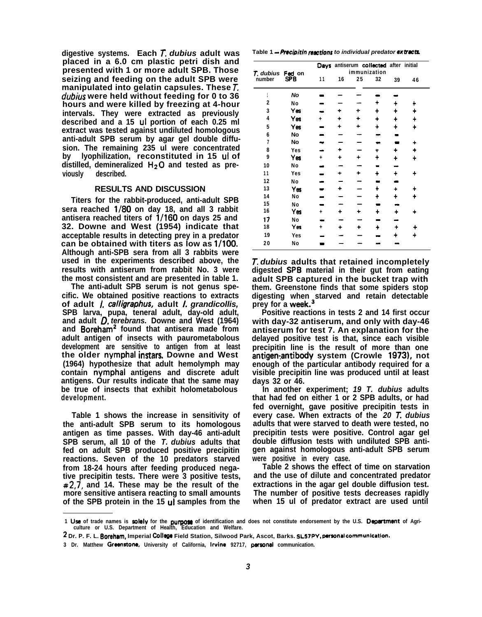**digestive systems. Each T.** *dubius* **adult was placed in a 6.0 cm plastic petri dish and presented with 1 or more adult SPB. Those seizing and feeding on the adult SPB were manipulated into gelatin capsules. These T.** *dub&s* **were held without feeding for 0 to 36 hours and were killed by freezing at 4-hour intervals. They were extracted as previously described and a 15 ul portion of each 0.25 ml extract was tested against undiluted homologous anti-adult SPB serum by agar gel double diffusion. The remaining 235 ul were concentrated by lyophilization, reconstituted in 15 ul of** distilled, demineralized H<sub>2</sub>O and tested as pre**viously described.**

## **RESULTS AND DISCUSSION**

**Titers for the rabbit-produced, anti-adult SPB sera reached l/80 on day 18, and all 3 rabbit antisera reached titers of l/160 on days 25 and 32. Downe and West (1954) indicate that acceptable results in detecting prey in a predator can be obtained with titers as low as l/100. Although anti-SPB sera from all 3 rabbits were used in the experiments described above, the results with antiserum from rabbit No. 3 were the most consistent and are presented in table 1.**

**The anti-adult SPB serum is not genus specific. We obtained positive reactions to extracts of adult** *I. calligraphus,* **adult** *I. grandicollis,* **SPB larva, pupa, teneral adult, day-old adult, and adult** *0. terebrans.* **Downe and West (1964)** and Boreham<sup>2</sup> found that antisera made from **adult antigen of insects with paurometabolous development are sensitive to antigen from at least the older nymphal instars. Downe and West (1964) hypothesize that adult hemolymph may contain nymphal antigens and discrete adult antigens. Our results indicate that the same may be true of insects that exhibit holometabolous development.**

**Table 1 shows the increase in sensitivity of the anti-adult SPB serum to its homologous antigen as time passes. With day-46 anti-adult SPB serum, all 10 of the** *T. dubius* **adults that fed on adult SPB produced positive precipitin reactions. Seven of the 10 predators starved from 18-24 hours after feeding produced negative precipitin tests. There were 3 positive tests, #2,7, and 14. These may be the result of the more sensitive antisera reacting to small amounts of the SPB protein in the 15 ul samples from the**

Table 1 - Precipitin *reactions* to individual predator extracts.

|                |               |    |    | Days antiserum collected after initial |    |    |    |
|----------------|---------------|----|----|----------------------------------------|----|----|----|
| T. dubius      | Fed on<br>SPB |    |    | immunization                           |    |    |    |
| number         |               | 11 | 16 | 25                                     | 32 | 39 | 46 |
|                | No            |    |    |                                        |    |    |    |
| $\mathbf{2}$   | No            |    |    |                                        |    |    |    |
| 3              | Yes           |    |    |                                        | +  |    |    |
| 4              | Yes           |    |    |                                        |    | ╇  | +  |
| 5              | Yes           |    |    |                                        | ٠  | ÷  | ╋  |
| 6              | No            |    |    |                                        |    |    |    |
| $\overline{1}$ | No            |    |    |                                        |    |    |    |
| 8              | Yes           |    |    |                                        |    |    |    |
| 9              | Yes           | ٠  |    |                                        | ┿  | ╇  | ÷  |
| 10             | No            |    |    |                                        |    |    |    |
| 11             | Yes           |    |    |                                        | ╇  | +  | ╇  |
| 12             | No            |    |    |                                        |    |    |    |
| 13             | Yes           |    |    |                                        |    | ۰  |    |
| 14             | No            |    |    |                                        | ۰  |    |    |
| 15             | No            |    |    |                                        |    |    |    |
| 16             | Yes           | ÷  | ۰  | ۰                                      | ∔  |    |    |
| 17             | No            |    |    |                                        |    |    |    |
| 18             | Yes           | ÷  |    | ۰                                      |    |    |    |
| 19             | Yes           |    |    |                                        |    |    |    |
| 20             | No            |    |    |                                        |    |    |    |

*T. dubius* **adults that retained incompletely digested \$PB material in their gut from eating adult SPB captured in the bucket trap with them. Greenstone finds that some spiders stop digesting when starved and retain detectable prey for a week.3**

**Positive reactions in tests 2 and 14 first occur with day-32 antiserum, and only with day-46 antiserum for test 7. An explanation for the delayed positive test is that, since each visible precipitin line is the result of more than one** antigen-antibody system (Crowle 1973), not **enough of the particular antibody required for a visible precipitin line was produced until at least days 32 or 46.**

**In another experiment;** *19 T. dubius* **adults that had fed on either 1 or 2 SPB adults, or had fed overnight, gave positive precipitin tests in every case. When extracts of the** *20 T. dubius* **adults that were starved to death were tested, no precipitin tests were positive. Control agar gel double diffusion tests with undiluted SPB antigen against homologous anti-adult SPB serum were positive in every case.**

**Table 2 shows the effect of time on starvation and the use of dilute and concentrated predator extractions in the agar gel double diffusion test. The number of positive tests decreases rapidly when 15 ul of predator extract are used until**

- **2 Dr. P. F. L. Boreham, Imperial CoIlego Field Station, Silwood Park, Ascot, Barks.** SLEJPV,parsonal communicatfon.
- **3 Dr. Matthew Greenrtone, University of California, lrvins 92717, parsonal communication.**

<sup>1</sup> Use of trade names is solely for the purpose of identification and does not constitute endorsement by the U.S. Department of Agri**culture or U.S. Department of Health, Education and Welfare.**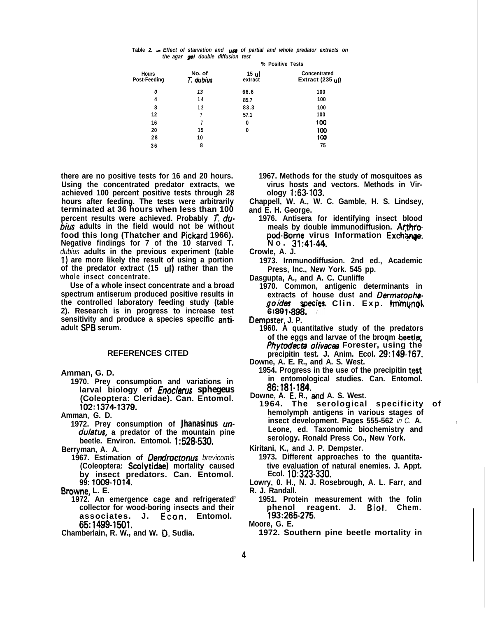|  |                                    |  |  |  |  | Table 2. -- Effect of starvation and $\mu$ se of partial and whole predator extracts on |  |
|--|------------------------------------|--|--|--|--|-----------------------------------------------------------------------------------------|--|
|  | the agar get double diffusion test |  |  |  |  |                                                                                         |  |

|                              |                     | % Positive Tests |                                            |  |  |  |  |
|------------------------------|---------------------|------------------|--------------------------------------------|--|--|--|--|
| <b>Hours</b><br>Post-Feeding | No. of<br>T. dubius | 15 ul<br>extract | Concentrated<br>Extract $(235 \text{ ul})$ |  |  |  |  |
| 0                            | 13                  | 66.6             | 100                                        |  |  |  |  |
| 4                            | 14                  | 85.7             | 100                                        |  |  |  |  |
| 8                            | 12                  | 83.3             | 100                                        |  |  |  |  |
| 12                           |                     | 57.1             | 100                                        |  |  |  |  |
| 16                           |                     | 0                | 100                                        |  |  |  |  |
| 20                           | 15                  | 0                | 100                                        |  |  |  |  |
| 28                           | 10                  |                  | 100                                        |  |  |  |  |
| 36                           | 8                   |                  | 75                                         |  |  |  |  |

**there are no positive tests for 16 and 20 hours. Using the concentrated predator extracts, we achieved 100 percent positive tests through 28 hours after feeding. The tests were arbitrarily terminated at 36 hours when less than 100 percent results were achieved. Probably** *J. dubius* **adults in the field would not be without food this long (Thatcher and Pickard 1966). Negative findings for 7 of the 10 starved T.** *dubius* **adults in the previous experiment (table 1) are more likely the result of using a portion of the predator extract (15 ul) rather than the whole insect concentrate.**

**Use of a whole insect concentrate and a broad spectrum antiserum produced positive results in the controlled laboratory feeding study (table 2). Research is in progress to increase test sensitivity and produce a species specific antiadult SP8 serum.**

#### **REFERENCES CITED**

**Amman, G. D.**

**1970. Prey consumption and variations in larval biology of** *Enoclerus sphegeus* **(Coleoptera: Cleridae). Can. Entomol. 102:1374-1379.**

**Amman, G. D.**

**1972. Prey consumption of** *Jhanasinus unduletus,* **a predator of the mountain pine beetle. Environ. Entomol. 1:528-530.**

**Berryman, A. A.**

**1967. Estimation of** *Dendroctonus brevicomis* **(Coleoptera: Scolytidae) mortality caused by insect predators. Can. Entomol. 99: 1009-1014.**

**Browne, L. E.**

**associates. J. Econ. Entomol. 193:265-275. 65:1499-1501. Moore, G. E.**

- **1967. Methods for the study of mosquitoes as virus hosts and vectors. Methods in Virology 1:63-103.**
- **Chappell, W. A., W. C. Gamble, H. S. Lindsey, and E. H. George.**
	- **1976. Antisera for identifying insect blood** meals by double immunodiffusion. Arthropod-Borne virus Information Exchange. **No. 31:41-44,**
- **Crowle, A. J.**
	- **1973. Irnmunodiffusion. 2nd ed., Academic Press, Inc., New York. 545 pp.**

**Dasgupta, A., and A. C. Cunliffe**

**1970. Common, antigenic determinants in** extracts of house dust and *Dermatopha-***~~~8g~ecies. Clin. Exp. tnimynok \* .**

**Dempster, J. P. \***

- **1960. A quantitative study of the predators of the eggs and larvae of the broqm beetler,** *Phytodecta olivacea* Forester, using the **precipitin test. J. Anim. Ecol. 29:149-167.**
- **Downe, A. E. R., and A. S. West.**
	- **1954. Progress in the use of the precipitin test in entomological studies. Can. Entomol. 86:181-184.**
- Downe, A. E. R., and A. S. West.
- **1964. The serological specificity of hemolymph antigens in various stages of insect development. Pages 555-562** *in C.* **A. Leone, ed. Taxonomic biochemistry and serology. Ronald Press Co., New York.**

**Kiritani, K., and J. P. Dempster.**

**1973. Different approaches to the quantitative evaluation of natural enemies. J. Appt. Ecol. 10:323-330.**

**Lowry, 0. H., N. J. Rosebrough, A. L. Farr, and R. J. Randall.**

**1972. An emergence cage and refrigerated' 1951. Protein measurement with the folin collector for wood-boring insects and their phenol reagent. J. Biol. Chem.**

**Chamberlain, R. W., and W. 0. Sudia. 1972. Southern pine beetle mortality in**